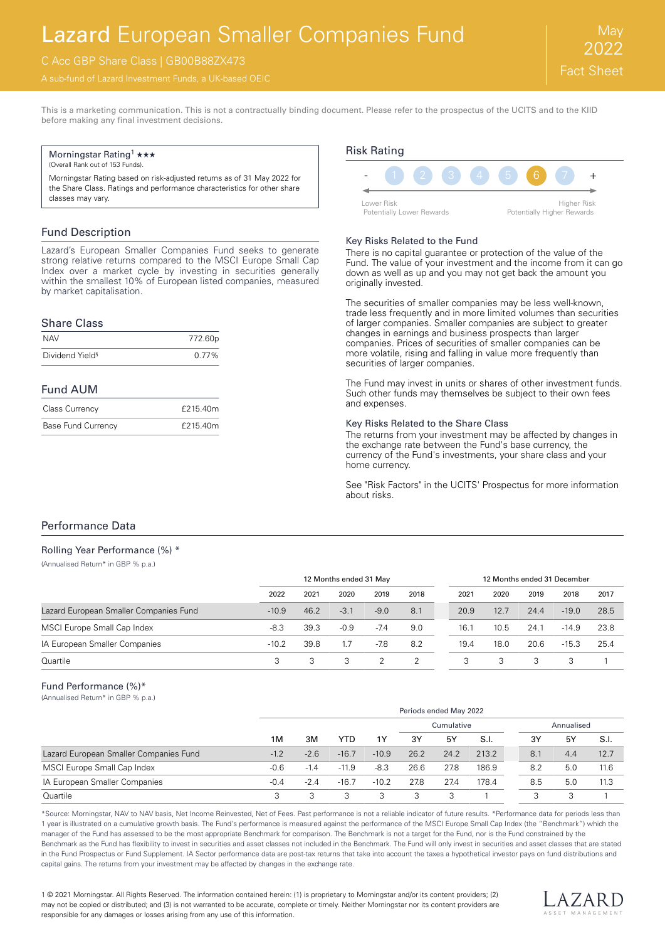# Lazard European Smaller Companies Fund

# C Acc GBP Share Class | GB00B88ZX473

This is a marketing communication. This is not a contractually binding document. Please refer to the prospectus of the UCITS and to the KIID before making any final investment decisions.

#### Morningstar Rating<sup>1</sup>  $\star\star\star$

(Overall Rank out of 153 Funds).

Morningstar Rating based on risk-adjusted returns as of 31 May 2022 for the Share Class. Ratings and performance characteristics for other share classes may vary.

## Fund Description

Lazard's European Smaller Companies Fund seeks to generate strong relative returns compared to the MSCI Europe Small Cap Index over a market cycle by investing in securities generally within the smallest 10% of European listed companies, measured by market capitalisation.

#### Share Class

| <b>NAV</b>                  | 772.60p  |
|-----------------------------|----------|
| Dividend Yield <sup>§</sup> | $0.77\%$ |

## Fund AUM

| <b>Class Currency</b> | £215.40m |
|-----------------------|----------|
| Base Fund Currency    | £215.40m |



#### Key Risks Related to the Fund

There is no capital guarantee or protection of the value of the Fund. The value of your investment and the income from it can go down as well as up and you may not get back the amount you originally invested.

The securities of smaller companies may be less well-known, trade less frequently and in more limited volumes than securities of larger companies. Smaller companies are subject to greater changes in earnings and business prospects than larger companies. Prices of securities of smaller companies can be more volatile, rising and falling in value more frequently than securities of larger companies.

The Fund may invest in units or shares of other investment funds. Such other funds may themselves be subject to their own fees and expenses.

#### Key Risks Related to the Share Class

The returns from your investment may be affected by changes in the exchange rate between the Fund's base currency, the currency of the Fund's investments, your share class and your home currency.

See "Risk Factors" in the UCITS' Prospectus for more information about risks.

### Performance Data

#### Rolling Year Performance (%) \*

(Annualised Return\* in GBP % p.a.)

|                                        | 12 Months ended 31 May |      |        |        | 12 Months ended 31 December |      |      |      |      |         |      |
|----------------------------------------|------------------------|------|--------|--------|-----------------------------|------|------|------|------|---------|------|
|                                        | 2022                   | 2021 | 2020   | 2019   | 2018                        | 2021 |      | 2020 | 2019 | 2018    | 2017 |
| Lazard European Smaller Companies Fund | $-10.9$                | 46.2 | $-3.1$ | $-9.0$ | 8.1                         |      | 20.9 | 12.7 | 24.4 | $-19.0$ | 28.5 |
| MSCI Europe Small Cap Index            | $-8.3$                 | 39.3 | $-0.9$ | $-7.4$ | 9.0                         |      | 16.1 | 10.5 | 24.1 | $-14.9$ | 23.8 |
| IA European Smaller Companies          | $-10.2$                | 39.8 | 1.7    | -7.8   | 8.2                         |      | 19.4 | 18.0 | 20.6 | $-15.3$ | 25.4 |
| Quartile                               | 3                      | 3    | 3      |        |                             |      | 3    | 3    | 3    | З       |      |

## Fund Performance (%)\*

(Annualised Return\* in GBP % p.a.)

|                                        |        | Periods ended May 2022 |         |         |            |      |       |     |            |      |  |
|----------------------------------------|--------|------------------------|---------|---------|------------|------|-------|-----|------------|------|--|
|                                        |        |                        |         |         | Cumulative |      |       |     | Annualised |      |  |
|                                        | 1M     | ЗM                     | YTD     | 1Y      | 3Y         | 5Y   | S.I.  | 3Y  | 5Y         | S.I. |  |
| Lazard European Smaller Companies Fund | $-1.2$ | $-2.6$                 | $-16.7$ | $-10.9$ | 26.2       | 24.2 | 213.2 | 8.1 | 4.4        | 12.7 |  |
| MSCI Europe Small Cap Index            | $-0.6$ | $-1.4$                 | $-11.9$ | $-8.3$  | 26.6       | 27.8 | 186.9 | 8.2 | 5.0        | 11.6 |  |
| IA European Smaller Companies          | $-0.4$ | $-2.4$                 | $-16.7$ | $-10.2$ | 27.8       | 27.4 | 178.4 | 8.5 | 5.0        | 11.3 |  |
| Quartile                               | 3      |                        |         |         | 3          | 3    |       |     |            |      |  |

\*Source: Morningstar, NAV to NAV basis, Net Income Reinvested, Net of Fees. Past performance is not a reliable indicator of future results. \*Performance data for periods less than 1 year is illustrated on a cumulative growth basis. The Fund's performance is measured against the performance of the MSCI Europe Small Cap Index (the "Benchmark") which the manager of the Fund has assessed to be the most appropriate Benchmark for comparison. The Benchmark is not a target for the Fund, nor is the Fund constrained by the Benchmark as the Fund has flexibility to invest in securities and asset classes not included in the Benchmark. The Fund will only invest in securities and asset classes that are stated in the Fund Prospectus or Fund Supplement. IA Sector performance data are post-tax returns that take into account the taxes a hypothetical investor pays on fund distributions and capital gains. The returns from your investment may be affected by changes in the exchange rate.

1 © 2021 Morningstar. All Rights Reserved. The information contained herein: (1) is proprietary to Morningstar and/or its content providers; (2) may not be copied or distributed; and (3) is not warranted to be accurate, complete or timely. Neither Morningstar nor its content providers are responsible for any damages or losses arising from any use of this information.

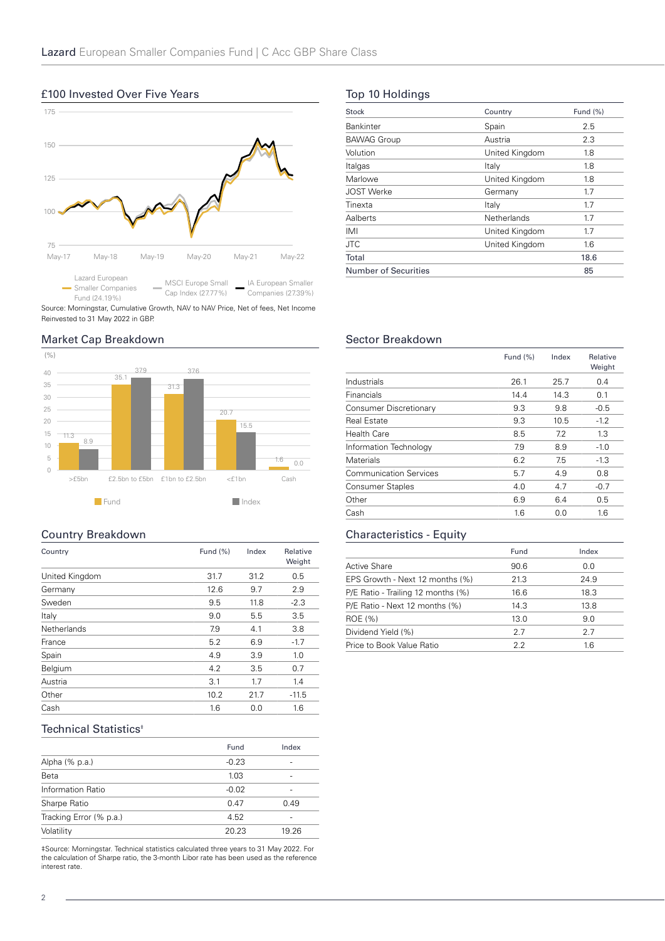## £100 Invested Over Five Years



Source: Morningstar, Cumulative Growth, NAV to NAV Price, Net of fees, Net Income Reinvested to 31 May 2022 in GBP.

# Market Cap Breakdown



## Country Breakdown

| Country        | Fund $(\%)$ | Index | Relative<br>Weight |
|----------------|-------------|-------|--------------------|
| United Kingdom | 31.7        | 31.2  | 0.5                |
| Germany        | 12.6        | 9.7   | 2.9                |
| Sweden         | 9.5         | 11.8  | $-2.3$             |
| Italy          | 9.0         | 5.5   | 3.5                |
| Netherlands    | 7.9         | 4.1   | 3.8                |
| France         | 5.2         | 6.9   | $-1.7$             |
| Spain          | 4.9         | 3.9   | 1.0                |
| Belgium        | 4.2         | 3.5   | 0.7                |
| Austria        | 3.1         | 1.7   | 1.4                |
| Other          | 10.2        | 21.7  | $-11.5$            |
| Cash           | 1.6         | 0.0   | 1.6                |

## Technical Statistics<sup>#</sup>

|                         | Fund    | Index |
|-------------------------|---------|-------|
| Alpha (% p.a.)          | $-0.23$ |       |
| Beta                    | 1.03    |       |
| Information Ratio       | $-0.02$ |       |
| Sharpe Ratio            | 0.47    | 0.49  |
| Tracking Error (% p.a.) | 4.52    |       |
| Volatility              | 20.23   | 19.26 |

‡Source: Morningstar. Technical statistics calculated three years to 31 May 2022. For the calculation of Sharpe ratio, the 3-month Libor rate has been used as the reference interest rate.

## Top 10 Holdings

| Stock                       | Country        | Fund $(\%)$ |
|-----------------------------|----------------|-------------|
| <b>Bankinter</b>            | Spain          | 2.5         |
| <b>BAWAG Group</b>          | Austria        | 2.3         |
| Volution                    | United Kingdom | 1.8         |
| Italgas                     | Italy          | 1.8         |
| Marlowe                     | United Kingdom | 1.8         |
| <b>JOST Werke</b>           | Germany        | 1.7         |
| Tinexta                     | Italy          | 1.7         |
| Aalberts                    | Netherlands    | 1.7         |
| IMI                         | United Kingdom | 1.7         |
| <b>JTC</b>                  | United Kingdom | 1.6         |
| Total                       |                | 18.6        |
| <b>Number of Securities</b> |                | 85          |

## Sector Breakdown

|                               | Fund $(\%)$ | Index | Relative<br>Weight |
|-------------------------------|-------------|-------|--------------------|
| Industrials                   | 26.1        | 25.7  | 0.4                |
| Financials                    | 14.4        | 14.3  | 0.1                |
| Consumer Discretionary        | 9.3         | 9.8   | $-0.5$             |
| <b>Real Estate</b>            | 9.3         | 10.5  | $-1.2$             |
| Health Care                   | 8.5         | 7.2   | 1.3                |
| Information Technology        | 7.9         | 8.9   | $-1.0$             |
| Materials                     | 6.2         | 7.5   | $-1.3$             |
| <b>Communication Services</b> | 5.7         | 4.9   | 0.8                |
| <b>Consumer Staples</b>       | 4.0         | 4.7   | $-0.7$             |
| Other                         | 6.9         | 6.4   | 0.5                |
| Cash                          | 1.6         | 0.0   | 1.6                |

## Characteristics - Equity

|                                    | Fund | Index |
|------------------------------------|------|-------|
| <b>Active Share</b>                | 90.6 | 0.0   |
| EPS Growth - Next 12 months (%)    | 21.3 | 24.9  |
| P/E Ratio - Trailing 12 months (%) | 16.6 | 18.3  |
| P/E Ratio - Next 12 months (%)     | 14.3 | 13.8  |
| ROE (%)                            | 13.0 | 9.0   |
| Dividend Yield (%)                 | 27   | 2.7   |
| Price to Book Value Ratio          | 2.2  | 1.6   |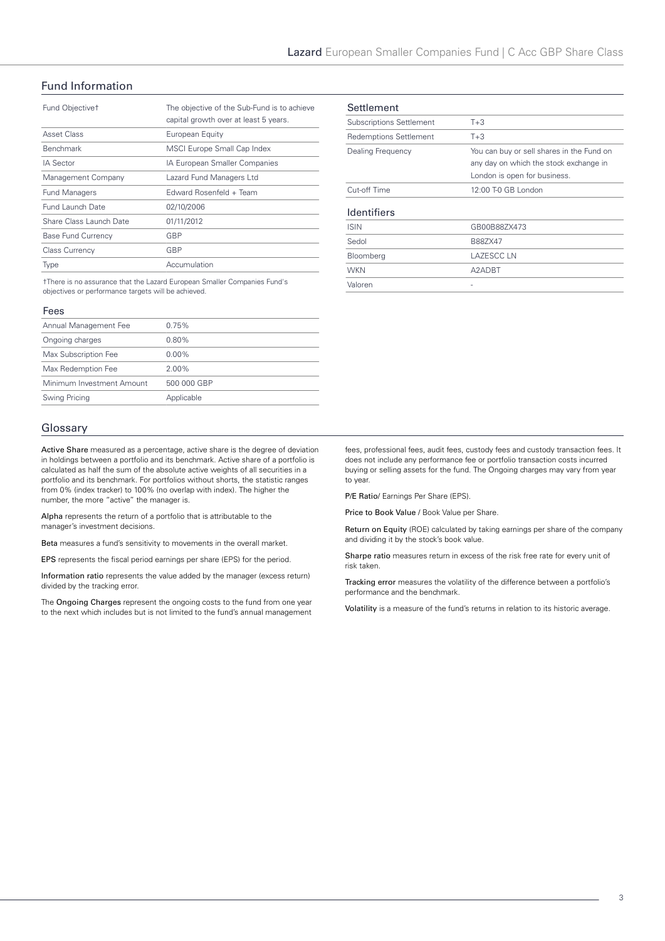## Fund Information

| Fund Objective <sup>+</sup> | The objective of the Sub-Fund is to achieve<br>capital growth over at least 5 years. |
|-----------------------------|--------------------------------------------------------------------------------------|
| Asset Class                 | European Equity                                                                      |
| <b>Benchmark</b>            | MSCI Europe Small Cap Index                                                          |
| <b>IA Sector</b>            | IA European Smaller Companies                                                        |
| Management Company          | Lazard Fund Managers Ltd                                                             |
| <b>Fund Managers</b>        | Edward Rosenfeld + Team                                                              |
| Fund Launch Date            | 02/10/2006                                                                           |
| Share Class Launch Date     | 01/11/2012                                                                           |
| <b>Base Fund Currency</b>   | GBP                                                                                  |
| <b>Class Currency</b>       | GBP                                                                                  |
| Type                        | Accumulation                                                                         |

†There is no assurance that the Lazard European Smaller Companies Fund's objectives or performance targets will be achieved.

#### Fees

| Annual Management Fee     | 0.75%       |
|---------------------------|-------------|
| Ongoing charges           | $0.80\%$    |
| Max Subscription Fee      | $0.00\%$    |
| Max Redemption Fee        | $2.00\%$    |
| Minimum Investment Amount | 500 000 GBP |
| Swing Pricing             | Applicable  |
|                           |             |

#### Glossary

Active Share measured as a percentage, active share is the degree of deviation in holdings between a portfolio and its benchmark. Active share of a portfolio is calculated as half the sum of the absolute active weights of all securities in a portfolio and its benchmark. For portfolios without shorts, the statistic ranges from 0% (index tracker) to 100% (no overlap with index). The higher the number, the more "active" the manager is.

Alpha represents the return of a portfolio that is attributable to the manager's investment decisions.

Beta measures a fund's sensitivity to movements in the overall market.

EPS represents the fiscal period earnings per share (EPS) for the period.

Information ratio represents the value added by the manager (excess return) divided by the tracking error.

The Ongoing Charges represent the ongoing costs to the fund from one year to the next which includes but is not limited to the fund's annual management

| <b>Subscriptions Settlement</b> | $T+3$                                     |
|---------------------------------|-------------------------------------------|
| Redemptions Settlement          | $T + 3$                                   |
| Dealing Frequency               | You can buy or sell shares in the Fund on |
|                                 | any day on which the stock exchange in    |
|                                 | London is open for business.              |
| Cut-off Time                    | 12:00 T-0 GB London                       |
| <b>Identifiers</b>              |                                           |
| <b>ISIN</b>                     | GB00B887X473                              |
| Sedol                           | B88ZX47                                   |
| Bloomberg                       | LAZESCC LN                                |
| <b>WKN</b>                      | A2ADBT                                    |
| Valoren                         |                                           |

fees, professional fees, audit fees, custody fees and custody transaction fees. It does not include any performance fee or portfolio transaction costs incurred buying or selling assets for the fund. The Ongoing charges may vary from year to year.

P/E Ratio/ Earnings Per Share (EPS).

Price to Book Value / Book Value per Share.

Return on Equity (ROE) calculated by taking earnings per share of the company and dividing it by the stock's book value.

Sharpe ratio measures return in excess of the risk free rate for every unit of risk taken.

Tracking error measures the volatility of the difference between a portfolio's performance and the benchmark.

Volatility is a measure of the fund's returns in relation to its historic average.